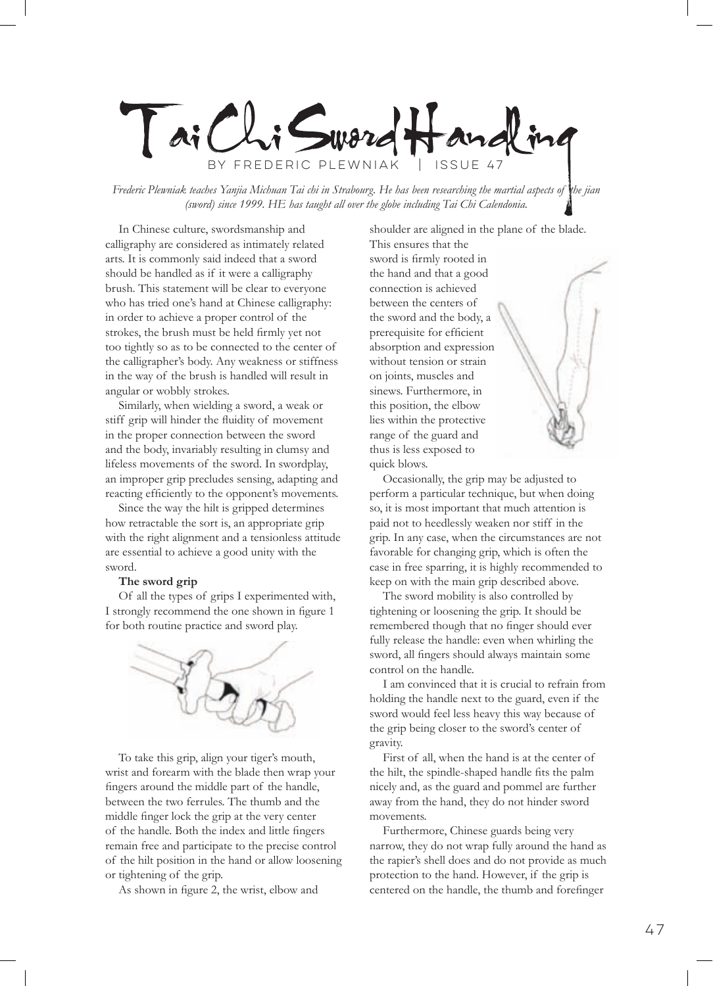Tai Chi Sward Hand by Frederic Plewniak | Issue 47

*Frederic Plewniak teaches Yanjia Michuan Tai chi in Strabourg. He has been researching the martial aspects of the jian (sword) since 1999. HE has taught all over the globe including Tai Chi Calendonia.*

In Chinese culture, swordsmanship and calligraphy are considered as intimately related arts. It is commonly said indeed that a sword should be handled as if it were a calligraphy brush. This statement will be clear to everyone who has tried one's hand at Chinese calligraphy: in order to achieve a proper control of the strokes, the brush must be held firmly yet not too tightly so as to be connected to the center of the calligrapher's body. Any weakness or stiffness in the way of the brush is handled will result in angular or wobbly strokes.

Similarly, when wielding a sword, a weak or stiff grip will hinder the fluidity of movement in the proper connection between the sword and the body, invariably resulting in clumsy and lifeless movements of the sword. In swordplay, an improper grip precludes sensing, adapting and reacting efficiently to the opponent's movements.

Since the way the hilt is gripped determines how retractable the sort is, an appropriate grip with the right alignment and a tensionless attitude are essential to achieve a good unity with the sword.

## **The sword grip**

Of all the types of grips I experimented with, I strongly recommend the one shown in figure 1 for both routine practice and sword play.



To take this grip, align your tiger's mouth, wrist and forearm with the blade then wrap your fingers around the middle part of the handle, between the two ferrules. The thumb and the middle finger lock the grip at the very center of the handle. Both the index and little fingers remain free and participate to the precise control of the hilt position in the hand or allow loosening or tightening of the grip.

As shown in figure 2, the wrist, elbow and

shoulder are aligned in the plane of the blade.

This ensures that the sword is firmly rooted in the hand and that a good connection is achieved between the centers of the sword and the body, a prerequisite for efficient absorption and expression without tension or strain on joints, muscles and sinews. Furthermore, in this position, the elbow lies within the protective range of the guard and thus is less exposed to quick blows.

Occasionally, the grip may be adjusted to perform a particular technique, but when doing so, it is most important that much attention is paid not to heedlessly weaken nor stiff in the grip. In any case, when the circumstances are not favorable for changing grip, which is often the case in free sparring, it is highly recommended to keep on with the main grip described above.

The sword mobility is also controlled by tightening or loosening the grip. It should be remembered though that no finger should ever fully release the handle: even when whirling the sword, all fingers should always maintain some control on the handle.

I am convinced that it is crucial to refrain from holding the handle next to the guard, even if the sword would feel less heavy this way because of the grip being closer to the sword's center of gravity.

First of all, when the hand is at the center of the hilt, the spindle-shaped handle fits the palm nicely and, as the guard and pommel are further away from the hand, they do not hinder sword movements.

Furthermore, Chinese guards being very narrow, they do not wrap fully around the hand as the rapier's shell does and do not provide as much protection to the hand. However, if the grip is centered on the handle, the thumb and forefinger